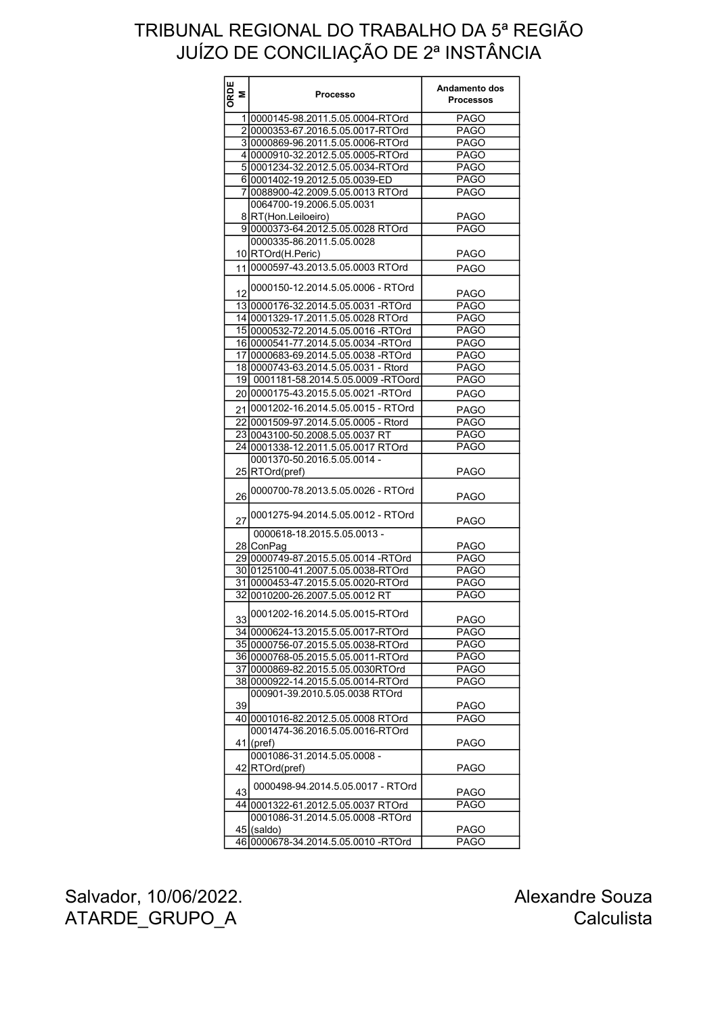| ORDE<br>Σ | <b>Processo</b>                                  | Andamento dos<br><b>Processos</b> |
|-----------|--------------------------------------------------|-----------------------------------|
|           | 1 0000145-98.2011.5.05.0004-RTOrd                | <b>PAGO</b>                       |
|           | 20000353-67.2016.5.05.0017-RTOrd                 | <b>PAGO</b>                       |
|           | 30000869-96.2011.5.05.0006-RTOrd                 | <b>PAGO</b>                       |
|           | 4 0000910-32.2012.5.05.0005-RTOrd                | <b>PAGO</b>                       |
|           | 50001234-32.2012.5.05.0034-RTOrd                 | <b>PAGO</b>                       |
|           | 60001402-19.2012.5.05.0039-ED                    | <b>PAGO</b>                       |
|           |                                                  |                                   |
|           | 7 0088900-42.2009.5.05.0013 RTOrd                | <b>PAGO</b>                       |
|           | 0064700-19.2006.5.05.0031<br>8 RT(Hon.Leiloeiro) | <b>PAGO</b>                       |
|           | 90000373-64.2012.5.05.0028 RTOrd                 | <b>PAGO</b>                       |
|           | 0000335-86.2011.5.05.0028                        |                                   |
|           | 10 RTOrd(H.Peric)                                | <b>PAGO</b>                       |
|           |                                                  |                                   |
|           | 11 0000597-43.2013.5.05.0003 RTOrd               | <b>PAGO</b>                       |
| 12        | 0000150-12.2014.5.05.0006 - RTOrd                | <b>PAGO</b>                       |
|           | 13 0000176-32.2014.5.05.0031 -RTOrd              | <b>PAGO</b>                       |
|           | 14 0001329-17.2011.5.05.0028 RTOrd               | <b>PAGO</b>                       |
|           | 15 0000532-72.2014.5.05.0016 -RTOrd              | <b>PAGO</b>                       |
|           | 16 0000541-77.2014.5.05.0034 -RTOrd              | <b>PAGO</b>                       |
|           | 17 0000683-69.2014.5.05.0038 -RTOrd              | <b>PAGO</b>                       |
|           | 18 0000743-63.2014.5.05.0031 - Rtord             | <b>PAGO</b>                       |
|           | 19 0001181-58.2014.5.05.0009 -RTOord             | <b>PAGO</b>                       |
|           | 20 0000175-43.2015.5.05.0021 -RTOrd              | <b>PAGO</b>                       |
|           | 21 0001202-16.2014.5.05.0015 - RTOrd             | <b>PAGO</b>                       |
|           | 22 0001509-97.2014.5.05.0005 - Rtord             | <b>PAGO</b>                       |
|           | 23 0043100-50.2008.5.05.0037 RT                  | <b>PAGO</b>                       |
|           |                                                  |                                   |
|           | 24 0001338-12.2011.5.05.0017 RTOrd               | <b>PAGO</b>                       |
|           | 0001370-50.2016.5.05.0014 -<br>25 RTOrd(pref)    | <b>PAGO</b>                       |
| 26        | 0000700-78.2013.5.05.0026 - RTOrd                | <b>PAGO</b>                       |
| 27        | 0001275-94.2014.5.05.0012 - RTOrd                | <b>PAGO</b>                       |
|           | 0000618-18.2015.5.05.0013 -                      |                                   |
|           | 28 ConPag                                        | <b>PAGO</b>                       |
|           | 29 0000749-87.2015.5.05.0014 -RTOrd              | <b>PAGO</b>                       |
|           | 30 0125100-41.2007.5.05.0038-RTOrd               | <b>PAGO</b>                       |
|           | 31 0000453-47.2015.5.05.0020-RTOrd               | <b>PAGO</b>                       |
|           | 32 0010200-26.2007.5.05.0012 RT                  | <b>PAGO</b>                       |
|           |                                                  |                                   |
|           | 330001202-16.2014.5.05.0015-RTOrd                | <b>PAGO</b>                       |
|           | 34 0000624-13.2015.5.05.0017-RTOrd               | <b>PAGO</b>                       |
|           | 35 0000756-07.2015.5.05.0038-RTOrd               | <b>PAGO</b>                       |
|           | 36 0000768-05.2015.5.05.0011-RTOrd               | <b>PAGO</b>                       |
|           | 3710000869-82.2015.5.05.0030RTOrd                | <b>PAGO</b>                       |
|           | 38 0000922-14.2015.5.05.0014-RTOrd               | <b>PAGO</b>                       |
|           | 000901-39.2010.5.05.0038 RTOrd                   |                                   |
| 39        |                                                  | <b>PAGO</b>                       |
|           | 40 0001016-82.2012.5.05.0008 RTOrd               | <b>PAGO</b>                       |
|           | 0001474-36.2016.5.05.0016-RTOrd<br>$41$ (pref)   | <b>PAGO</b>                       |
|           | 0001086-31.2014.5.05.0008 -                      |                                   |
|           | 42 RTOrd(pref)                                   | <b>PAGO</b>                       |
| 43        | 0000498-94.2014.5.05.0017 - RTOrd                |                                   |
|           | 44 0001322-61.2012.5.05.0037 RTOrd               | <b>PAGO</b><br><b>PAGO</b>        |
|           | 0001086-31.2014.5.05.0008 -RTOrd                 |                                   |
|           | 45 (saldo)                                       | <b>PAGO</b>                       |
|           | 46 0000678-34.2014 5 05 0010 -RTOrd              | <b>PAGO</b>                       |
|           |                                                  |                                   |

Salvador, 10/06/2022. ATARDE\_GRUPO\_A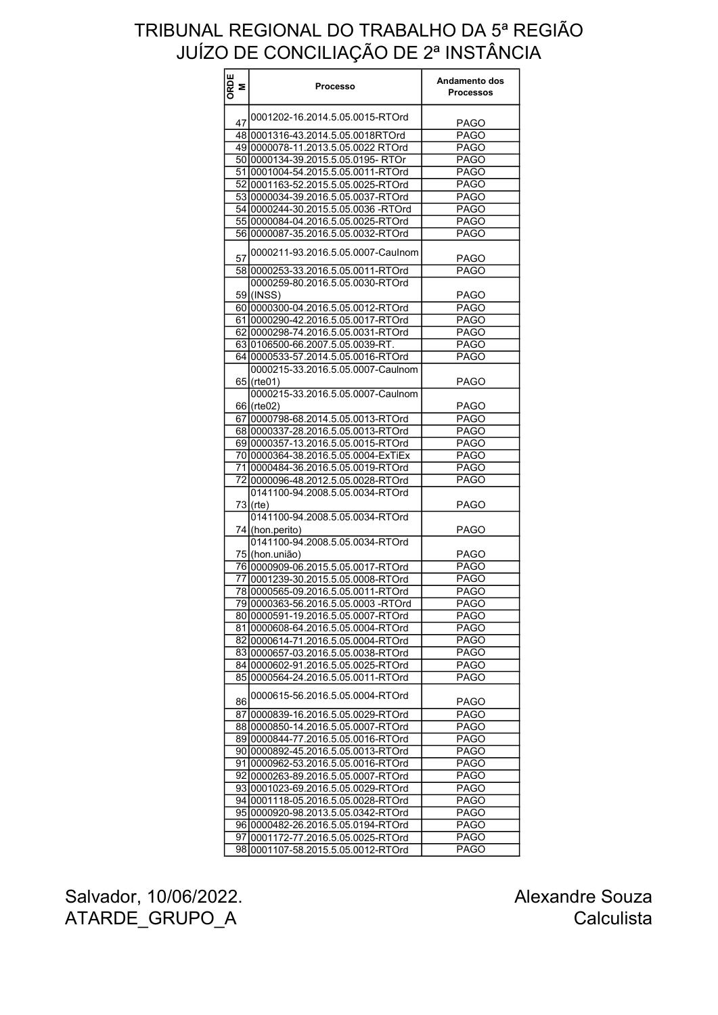| ORDE<br>M | <b>Processo</b>                      | Andamento dos<br><b>Processos</b> |
|-----------|--------------------------------------|-----------------------------------|
| 47        | 0001202-16.2014.5.05.0015-RTOrd      |                                   |
|           |                                      | <b>PAGO</b>                       |
|           | 48 0001316-43.2014.5.05.0018RTOrd    | <b>PAGO</b>                       |
|           | 49 0000078-11.2013.5.05.0022 RTOrd   | PAGO                              |
|           | 50 0000134-39 2015 5.05 0195 - RTOr  | <b>PAGO</b>                       |
|           | 51 0001004-54.2015.5.05.0011-RTOrd   | <b>PAGO</b>                       |
|           | 52 0001163-52.2015.5.05.0025-RTOrd   | <b>PAGO</b>                       |
|           | 53 0000034-39.2016.5.05.0037-RTOrd   | <b>PAGO</b>                       |
|           | 54 0000244-30.2015.5.05.0036 -RTOrd  | <b>PAGO</b>                       |
|           | 5510000084-04.2016.5.05.0025-RTOrd   | <b>PAGO</b>                       |
|           | 5610000087-35.2016.5.05.0032-RTOrd   | PAGO                              |
| 57        | 0000211-93.2016.5.05.0007-Caulnom    | <b>PAGO</b>                       |
|           | 58 0000253-33.2016.5.05.0011-RTOrd   | <b>PAGO</b>                       |
|           | 0000259-80.2016.5.05.0030-RTOrd      |                                   |
|           | 59 (INSS)                            | <b>PAGO</b>                       |
|           | 60 0000300-04.2016.5.05.0012-RTOrd   | <b>PAGO</b>                       |
|           | 61 0000290-42.2016.5.05.0017-RTOrd   | <b>PAGO</b>                       |
|           | 62 0000298-74.2016.5.05.0031-RTOrd   | <b>PAGO</b>                       |
|           |                                      |                                   |
|           | 63 0106500-66.2007.5.05.0039-RT.     | <b>PAGO</b>                       |
|           | 64 0000533-57.2014.5.05.0016-RTOrd   | <b>PAGO</b>                       |
|           | 0000215-33.2016.5.05.0007-Caulnom    |                                   |
|           | $65$ (rte01)                         | <b>PAGO</b>                       |
|           | 0000215-33.2016.5.05.0007-Caulnom    |                                   |
|           | 66 (rte02)                           | <b>PAGO</b>                       |
|           | 67 0000798-68.2014.5.05.0013-RTOrd   | PAGO                              |
|           | 68 0000337-28.2016.5.05.0013-RTOrd   | <b>PAGO</b>                       |
|           | 69 0000357-13.2016.5.05.0015-RTOrd   | <b>PAGO</b>                       |
|           | 7010000364-38.2016.5.05.0004-ExTiEx  | <b>PAGO</b>                       |
|           | 71 0000484-36.2016.5.05.0019-RTOrd   | <b>PAGO</b>                       |
|           | 72 0000096-48.2012.5.05.0028-RTOrd   | PAGO                              |
|           | 0141100-94.2008.5.05.0034-RTOrd      |                                   |
|           | $73$ (rte)                           | <b>PAGO</b>                       |
|           | 0141100-94.2008.5.05.0034-RTOrd      |                                   |
|           | 74 (hon.perito)                      | <b>PAGO</b>                       |
|           | 0141100-94.2008.5.05.0034-RTOrd      |                                   |
|           |                                      |                                   |
|           | 75 (hon.união)                       | <b>PAGO</b>                       |
|           | 76 0000909-06.2015.5.05.0017-RTOrd   | PAGO                              |
|           | 77   0001239-30.2015.5.05.0008-RTOrd | <b>PAGO</b>                       |
|           | 78 0000565-09.2016.5.05.0011-RTOrd   | <b>PAGO</b>                       |
|           | 79 0000363-56.2016.5.05.0003 -RTOrd  | PAGO                              |
|           | 80 0000591-19.2016.5.05.0007-RTOrd   | <b>PAGO</b>                       |
|           | 81 0000608-64.2016.5.05.0004-RTOrd   | PAGO                              |
|           | 82 0000614-71.2016.5.05.0004-RTOrd   | <b>PAGO</b>                       |
|           | 83 0000657-03.2016.5.05.0038-RTOrd   | <b>PAGO</b>                       |
|           | 84 0000602-91.2016.5.05.0025-RTOrd   | <b>PAGO</b>                       |
|           | 85 0000564-24.2016.5.05.0011-RTOrd   | <b>PAGO</b>                       |
| 86        | 0000615-56.2016.5.05.0004-RTOrd      | <b>PAGO</b>                       |
|           | 87 0000839-16.2016.5.05.0029-RTOrd   | <b>PAGO</b>                       |
|           | 88 0000850-14.2016.5.05.0007-RTOrd   | <b>PAGO</b>                       |
|           |                                      |                                   |
|           | 89 0000844-77.2016.5.05.0016-RTOrd   | PAGO                              |
|           | 90 0000892-45.2016.5.05.0013-RTOrd   | <b>PAGO</b>                       |
|           | 91 0000962-53.2016.5.05.0016-RTOrd   | <b>PAGO</b>                       |
|           | 92 0000263-89.2016.5.05.0007-RTOrd   | <b>PAGO</b>                       |
|           | 93 0001023-69.2016.5.05.0029-RTOrd   | <b>PAGO</b>                       |
|           | 94 0001118-05.2016.5.05.0028-RTOrd   | PAGO                              |
|           | 95 0000920-98.2013.5.05.0342-RTOrd   | <b>PAGO</b>                       |
|           | 96 0000482-26.2016.5.05.0194-RTOrd   | <b>PAGO</b>                       |
|           | 97 0001172-77.2016.5.05.0025-RTOrd   | <b>PAGO</b>                       |
|           | 98 0001107-58.2015.5.05.0012-RTOrd   | PAGO                              |

Salvador, 10/06/2022. ATARDE\_GRUPO\_A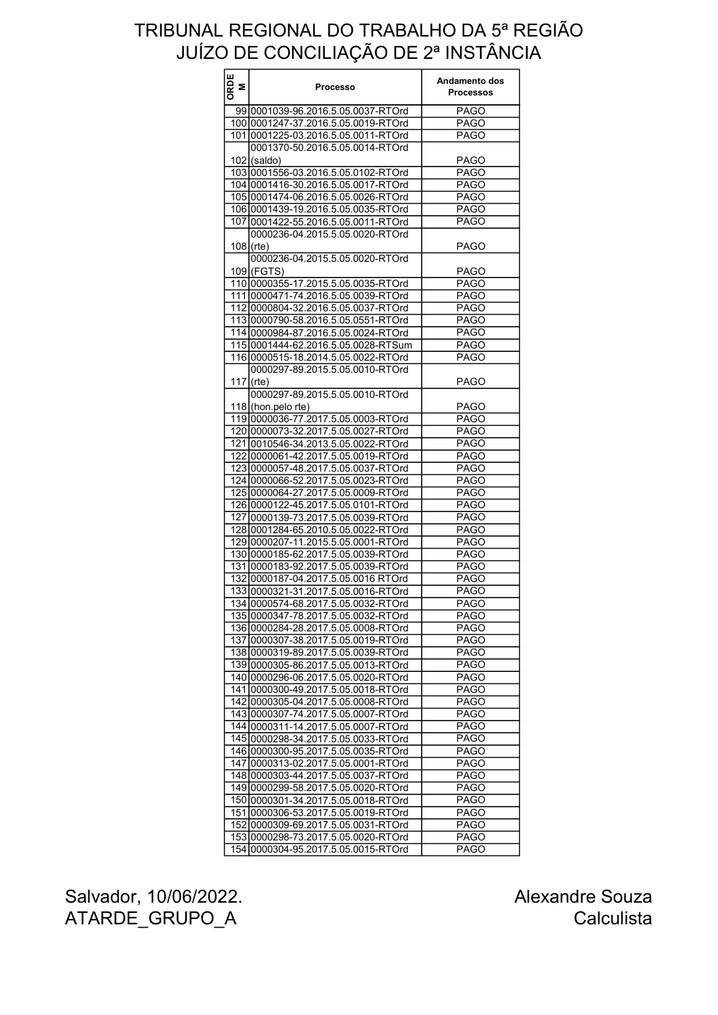| ORDE<br>Σ | <b>Processo</b>                     | Andamento dos<br><b>Processos</b> |
|-----------|-------------------------------------|-----------------------------------|
|           | 99 0001039-96.2016.5.05.0037-RTOrd  | <b>PAGO</b>                       |
|           | 100 0001247-37.2016.5.05.0019-RTOrd | <b>PAGO</b>                       |
|           | 101 0001225-03.2016.5.05.0011-RTOrd | <b>PAGO</b>                       |
|           | 0001370-50.2016.5.05.0014-RTOrd     |                                   |
|           | $102$ (saldo)                       | <b>PAGO</b>                       |
|           | 103 0001556-03.2016.5.05.0102-RTOrd | <b>PAGO</b>                       |
|           | 104 0001416-30.2016.5.05.0017-RTOrd | <b>PAGO</b>                       |
|           | 105 0001474-06.2016.5.05.0026-RTOrd | <b>PAGO</b>                       |
|           | 10610001439-19.2016.5.05.0035-RTOrd | <b>PAGO</b>                       |
|           | 107 0001422-55.2016.5.05.0011-RTOrd | <b>PAGO</b>                       |
|           | 0000236-04.2015.5.05.0020-RTOrd     |                                   |
|           | $108$ (rte)                         | <b>PAGO</b>                       |
|           | 0000236-04.2015.5.05.0020-RTOrd     |                                   |
|           | 109 (FGTS)                          | <b>PAGO</b>                       |
|           | 110 0000355-17.2015.5.05.0035-RTOrd | <b>PAGO</b>                       |
|           | 111 0000471-74.2016.5.05.0039-RTOrd | <b>PAGO</b>                       |
|           |                                     |                                   |
|           | 112 0000804-32.2016.5.05.0037-RTOrd | PAGO                              |
|           | 113 0000790-58.2016.5.05.0551-RTOrd | <b>PAGO</b>                       |
|           | 11410000984-87.2016.5.05.0024-RTOrd | <b>PAGO</b>                       |
|           | 115 0001444-62.2016.5.05.0028-RTSum | <b>PAGO</b>                       |
|           | 116 0000515-18.2014.5.05.0022-RTOrd | <b>PAGO</b>                       |
|           | 0000297-89.2015.5.05.0010-RTOrd     |                                   |
| 117       | (rte)                               | <b>PAGO</b>                       |
|           | 0000297-89.2015.5.05.0010-RTOrd     |                                   |
|           | 118 (hon.pelo rte)                  | <b>PAGO</b>                       |
|           | 119 0000036-77.2017.5.05.0003-RTOrd | <b>PAGO</b>                       |
|           | 120 0000073-32.2017.5.05.0027-RTOrd | <b>PAGO</b>                       |
|           | 121 0010546-34.2013.5.05.0022-RTOrd | <b>PAGO</b>                       |
|           | 122 0000061-42.2017.5.05.0019-RTOrd | <b>PAGO</b>                       |
|           | 123 0000057-48.2017.5.05.0037-RTOrd | <b>PAGO</b>                       |
|           | 124 0000066-52.2017.5.05.0023-RTOrd | <b>PAGO</b>                       |
|           | 125 0000064-27.2017.5.05.0009-RTOrd | <b>PAGO</b>                       |
|           | 126 0000122-45.2017.5.05.0101-RTOrd | <b>PAGO</b>                       |
|           | 127 0000139-73.2017.5.05.0039-RTOrd | <b>PAGO</b>                       |
|           | 128 0001284-65.2010.5.05.0022-RTOrd | <b>PAGO</b>                       |
|           | 129 0000207-11.2015.5.05.0001-RTOrd | <b>PAGO</b>                       |
|           | 130 0000185-62.2017.5.05.0039-RTOrd | <b>PAGO</b>                       |
|           | 131 0000183-92.2017.5.05.0039-RTOrd | <b>PAGO</b>                       |
|           | 132 0000187-04.2017.5.05.0016 RTOrd | <b>PAGO</b>                       |
|           | 133 0000321-31.2017.5.05.0016-RTOrd | <b>PAGO</b>                       |
|           | 134 0000574-68.2017.5.05.0032-RTOrd | PAGO                              |
|           | 135 0000347-78.2017.5.05.0032-RTOrd | <b>PAGO</b>                       |
|           | 136 0000284-28.2017.5.05.0008-RTOrd | <b>PAGO</b>                       |
|           | 137 0000307-38.2017.5.05.0019-RTOrd | <b>PAGO</b>                       |
|           | 138 0000319-89.2017.5.05.0039-RTOrd | <b>PAGO</b>                       |
|           | 139 0000305-86.2017.5.05.0013-RTOrd | <b>PAGO</b>                       |
|           | 140 0000296-06.2017.5.05.0020-RTOrd | <b>PAGO</b>                       |
|           | 141 0000300-49.2017.5.05.0018-RTOrd | <b>PAGO</b>                       |
|           | 142 0000305-04.2017.5.05.0008-RTOrd | <b>PAGO</b>                       |
|           | 143 0000307-74.2017.5.05.0007-RTOrd | <b>PAGO</b>                       |
|           | 144 0000311-14.2017.5.05.0007-RTOrd | <b>PAGO</b>                       |
|           | 145 0000298-34.2017.5.05.0033-RTOrd | <b>PAGO</b>                       |
|           | 146 0000300-95.2017.5.05.0035-RTOrd | <b>PAGO</b>                       |
|           | 147 0000313-02.2017.5.05.0001-RTOrd | <b>PAGO</b>                       |
|           | 148 0000303-44.2017.5.05.0037-RTOrd | <b>PAGO</b>                       |
|           | 149 0000299-58.2017.5.05.0020-RTOrd | <b>PAGO</b>                       |
|           | 150 0000301-34.2017.5.05.0018-RTOrd | <b>PAGO</b>                       |
|           | 151 0000306-53.2017.5.05.0019-RTOrd | <b>PAGO</b>                       |
|           | 152 0000309-69.2017.5.05.0031-RTOrd | <b>PAGO</b>                       |
|           | 153 0000298-73.2017.5.05.0020-RTOrd | PAGO                              |
|           | 154 0000304-95.2017.5.05.0015-RTOrd | <b>PAGO</b>                       |
|           |                                     |                                   |

Salvador, 10/06/2022. ATARDE\_GRUPO\_A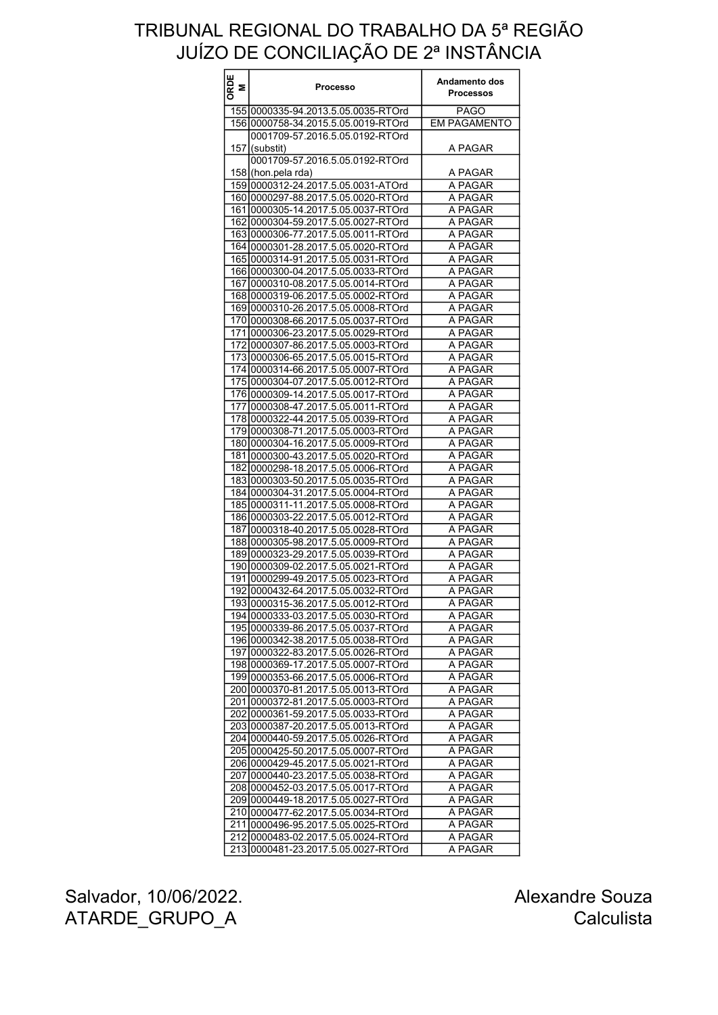| ORDE<br>M | <b>Processo</b>                     | Andamento dos<br><b>Processos</b> |
|-----------|-------------------------------------|-----------------------------------|
|           | 155 0000335-94.2013.5.05.0035-RTOrd | <b>PAGO</b>                       |
|           | 156 0000758-34.2015.5.05.0019-RTOrd | <b>EM PAGAMENTO</b>               |
|           | 0001709-57.2016.5.05.0192-RTOrd     |                                   |
| 157       | (substit)                           | A PAGAR                           |
|           | 0001709-57.2016.5.05.0192-RTOrd     |                                   |
|           | 158 (hon pela rda)                  | A PAGAR                           |
|           | 159 0000312-24.2017.5.05.0031-ATOrd | A PAGAR                           |
|           | 16010000297-88.2017.5.05.0020-RTOrd | A PAGAR                           |
|           | 161 0000305-14.2017.5.05.0037-RTOrd | A PAGAR                           |
|           | 162 0000304-59.2017.5.05.0027-RTOrd | A PAGAR                           |
|           | 163 0000306-77.2017.5.05.0011-RTOrd | A PAGAR                           |
|           | 164 0000301-28.2017.5.05.0020-RTOrd | A PAGAR                           |
|           | 165 0000314-91.2017.5.05.0031-RTOrd | A PAGAR                           |
|           | 166 0000300-04.2017.5.05.0033-RTOrd | A PAGAR                           |
|           | 167 0000310-08.2017.5.05.0014-RTOrd | A PAGAR                           |
|           | 168 0000319-06.2017.5.05.0002-RTOrd | A PAGAR                           |
|           | 169 0000310-26.2017.5.05.0008-RTOrd | A PAGAR                           |
|           | 170 0000308-66.2017.5.05.0037-RTOrd | A PAGAR                           |
|           | 171 0000306-23.2017.5.05.0029-RTOrd | A PAGAR                           |
|           | 172 0000307-86.2017.5.05.0003-RTOrd | A PAGAR                           |
|           | 173 0000306-65.2017.5.05.0015-RTOrd | A PAGAR                           |
|           | 174 0000314-66.2017.5.05.0007-RTOrd | A PAGAR                           |
|           | 17510000304-07.2017.5.05.0012-RTOrd | A PAGAR                           |
|           | 176 0000309-14.2017.5.05.0017-RTOrd | A PAGAR                           |
|           | 177 0000308-47.2017.5.05.0011-RTOrd | A PAGAR                           |
|           | 178 0000322-44.2017.5.05.0039-RTOrd | A PAGAR                           |
|           | 179 0000308-71.2017.5.05.0003-RTOrd | A PAGAR                           |
|           | 180 0000304-16.2017.5.05.0009-RTOrd | A PAGAR                           |
|           | 181 0000300-43.2017.5.05.0020-RTOrd | A PAGAR                           |
|           | 182 0000298-18.2017.5.05.0006-RTOrd | A PAGAR                           |
|           | 183 0000303-50.2017.5.05.0035-RTOrd | A PAGAR                           |
|           | 184 0000304-31.2017.5.05.0004-RTOrd | A PAGAR                           |
|           | 185 0000311-11.2017.5.05.0008-RTOrd | A PAGAR                           |
|           | 186 0000303-22.2017.5.05.0012-RTOrd | A PAGAR                           |
|           | 187 0000318-40.2017.5.05.0028-RTOrd | A PAGAR                           |
|           | 188 0000305-98.2017.5.05.0009-RTOrd | A PAGAR                           |
|           | 189 0000323-29.2017.5.05.0039-RTOrd | A PAGAR                           |
|           | 190 0000309-02.2017.5.05.0021-RTOrd | A PAGAR                           |
|           | 191 0000299-49.2017.5.05.0023-RTOrd | A PAGAR                           |
|           | 192 0000432-64.2017.5.05.0032-RTOrd | A PAGAR                           |
|           | 193 0000315-36.2017.5.05.0012-RTOrd | A PAGAR                           |
|           | 194 0000333-03.2017.5.05.0030-RTOrd | A PAGAR                           |
|           | 195 0000339-86.2017.5.05.0037-RTOrd | A PAGAR                           |
|           | 196 0000342-38.2017.5.05.0038-RTOrd | A PAGAR                           |
|           | 197 0000322-83.2017.5.05.0026-RTOrd | A PAGAR                           |
|           | 198 0000369-17.2017.5.05.0007-RTOrd | A PAGAR                           |
|           | 199 0000353-66.2017.5.05.0006-RTOrd | A PAGAR                           |
|           | 200 0000370-81.2017.5.05.0013-RTOrd | A PAGAR                           |
|           | 201 0000372-81.2017.5.05.0003-RTOrd | A PAGAR                           |
|           | 202 0000361-59.2017.5.05.0033-RTOrd | A PAGAR                           |
|           | 203 0000387-20.2017.5.05.0013-RTOrd | A PAGAR                           |
|           | 204 0000440-59.2017.5.05.0026-RTOrd | A PAGAR                           |
|           | 205 0000425-50.2017.5.05.0007-RTOrd | A PAGAR                           |
|           | 206 0000429-45.2017.5.05.0021-RTOrd | A PAGAR                           |
|           | 207 0000440-23.2017.5.05.0038-RTOrd | A PAGAR                           |
|           | 208 0000452-03.2017.5.05.0017-RTOrd | A PAGAR                           |
|           | 209 0000449-18.2017.5.05.0027-RTOrd | A PAGAR                           |
|           | 210 0000477-62.2017.5.05.0034-RTOrd | A PAGAR                           |
|           | 211 0000496-95.2017.5.05.0025-RTOrd | A PAGAR                           |
|           | 212 0000483-02.2017.5.05.0024-RTOrd | A PAGAR                           |
| 213       | 0000481-23.2017.5.05.0027-RTOrd     | A PAGAR                           |

Salvador, 10/06/2022. ATARDE\_GRUPO\_A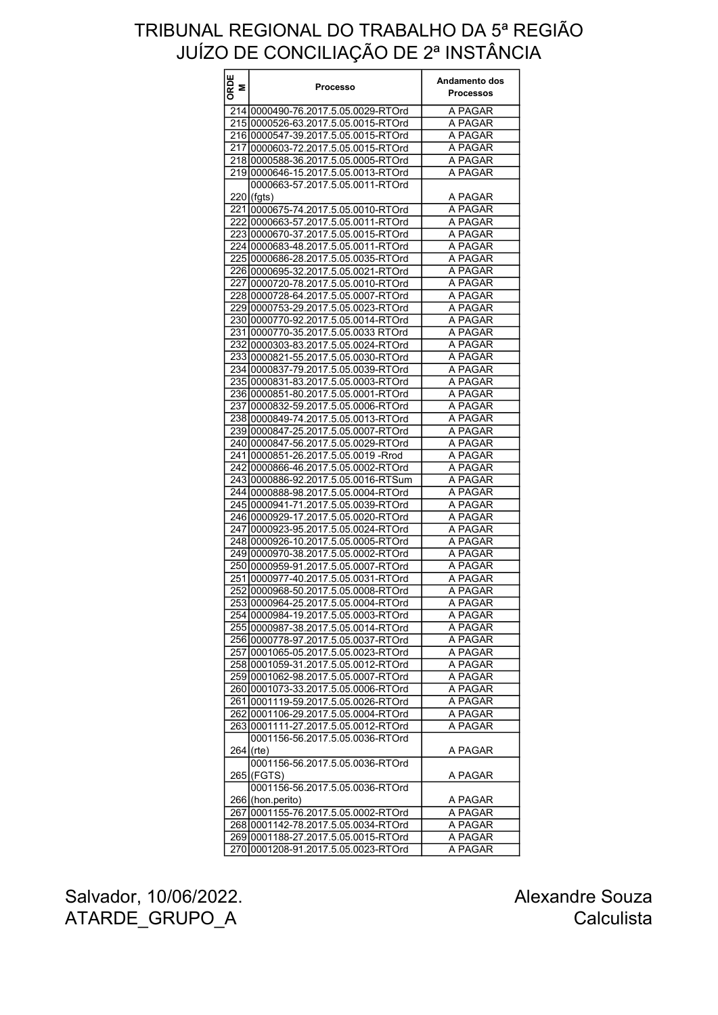| ORDE<br>M | Processo                             | Andamento dos<br><b>Processos</b> |
|-----------|--------------------------------------|-----------------------------------|
|           | 214 0000490-76.2017.5.05.0029-RTOrd  | A PAGAR                           |
|           | 215 0000526-63.2017.5.05.0015-RTOrd  | A PAGAR                           |
|           | 216 0000547-39.2017.5.05.0015-RTOrd  | A PAGAR                           |
|           | 217 0000603-72.2017.5.05.0015-RTOrd  | A PAGAR                           |
|           | 218 0000588-36.2017.5.05.0005-RTOrd  | A PAGAR                           |
|           | 219 0000646-15.2017.5.05.0013-RTOrd  | A PAGAR                           |
|           | 0000663-57.2017.5.05.0011-RTOrd      |                                   |
|           | $220$ (fgts)                         | A PAGAR                           |
|           | 221 0000675-74.2017.5.05.0010-RTOrd  | A PAGAR                           |
|           | 22210000663-57.2017.5.05.0011-RTOrd  | A PAGAR                           |
|           | 223 0000670-37.2017.5.05.0015-RTOrd  | A PAGAR                           |
|           | 224 0000683-48.2017.5.05.0011-RTOrd  | A PAGAR                           |
|           | 225 0000686-28.2017.5.05.0035-RTOrd  | A PAGAR                           |
|           | 226 0000695-32.2017.5.05.0021-RTOrd  | A PAGAR                           |
|           | 227 0000720-78.2017.5.05.0010-RTOrd  | A PAGAR                           |
|           | 228 0000728-64.2017.5.05.0007-RTOrd  | A PAGAR                           |
|           | 229 0000753-29.2017.5.05.0023-RTOrd  | A PAGAR                           |
|           | 230 0000770-92.2017.5.05.0014-RTOrd  | A PAGAR                           |
|           | 231 0000770-35.2017.5.05.0033 RTOrd  | A PAGAR                           |
|           | 232 0000303-83.2017.5.05.0024-RTOrd  | A PAGAR                           |
|           | 233 0000821-55.2017.5.05.0030-RTOrd  | A PAGAR                           |
|           | 234 0000837-79.2017.5.05.0039-RTOrd  | A PAGAR                           |
|           | 235 0000831-83.2017.5.05.0003-RTOrd  | A PAGAR                           |
|           | 236 0000851-80.2017.5.05.0001-RTOrd  | A PAGAR                           |
|           | 237 0000832-59.2017.5.05.0006-RTOrd  | A PAGAR                           |
|           | 238 0000849-74.2017.5.05.0013-RTOrd  | A PAGAR                           |
|           | 239 0000847-25.2017.5.05.0007-RTOrd  | A PAGAR                           |
|           | 240 0000847-56.2017.5.05.0029-RTOrd  | A PAGAR                           |
|           | 241 0000851-26.2017.5.05.0019 - Rrod | A PAGAR                           |
|           | 242 0000866-46.2017.5.05.0002-RTOrd  | A PAGAR                           |
|           | 243 0000886-92.2017.5.05.0016-RTSum  | A PAGAR                           |
|           | 244 0000888-98.2017.5.05.0004-RTOrd  | A PAGAR                           |
|           | 245 0000941-71.2017.5.05.0039-RTOrd  | A PAGAR                           |
|           | 246 0000929-17.2017.5.05.0020-RTOrd  | A PAGAR                           |
|           | 247 0000923-95.2017.5.05.0024-RTOrd  | A PAGAR                           |
|           | 248 0000926-10.2017.5.05.0005-RTOrd  | A PAGAR                           |
|           | 249 0000970-38.2017.5.05.0002-RTOrd  | A PAGAR                           |
|           | 250 0000959-91.2017.5.05.0007-RTOrd  | A PAGAR                           |
|           | 251 0000977-40.2017.5.05.0031-RTOrd  | A PAGAR                           |
|           | 252 0000968-50.2017.5.05.0008-RTOrd  | A PAGAR                           |
|           | 253 0000964-25.2017.5.05.0004-RTOrd  | A PAGAR                           |
|           | 254 0000984-19.2017.5.05.0003-RTOrd  | A PAGAR                           |
|           | 255 0000987-38.2017.5.05.0014-RTOrd  | A PAGAR                           |
|           | 256 0000778-97.2017.5.05.0037-RTOrd  | A PAGAR                           |
|           | 257 0001065-05.2017.5.05.0023-RTOrd  | A PAGAR                           |
|           | 258 0001059-31.2017.5.05.0012-RTOrd  | A PAGAR                           |
|           | 259 0001062-98.2017.5.05.0007-RTOrd  | A PAGAR                           |
|           | 260 0001073-33.2017.5.05.0006-RTOrd  | A PAGAR                           |
|           | 261 0001119-59.2017.5.05.0026-RTOrd  | A PAGAR                           |
|           | 262 0001106-29.2017.5.05.0004-RTOrd  | A PAGAR                           |
|           | 263 0001111-27.2017.5.05.0012-RTOrd  | A PAGAR                           |
|           | 0001156-56.2017.5.05.0036-RTOrd      |                                   |
|           | $264$ (rte)                          | A PAGAR                           |
|           | 0001156-56.2017.5.05.0036-RTOrd      |                                   |
|           | 265 (FGTS)                           | A PAGAR                           |
|           | 0001156-56.2017.5.05.0036-RTOrd      |                                   |
|           | 266 (hon.perito)                     | A PAGAR                           |
|           | 267 0001155-76.2017.5.05.0002-RTOrd  | A PAGAR                           |
|           | 268 0001142-78.2017.5.05.0034-RTOrd  | A PAGAR                           |
|           | 269 0001188-27.2017.5.05.0015-RTOrd  | A PAGAR                           |
|           | 270 0001208-91.2017.5.05.0023-RTOrd  | A PAGAR                           |

Salvador, 10/06/2022. ATARDE\_GRUPO\_A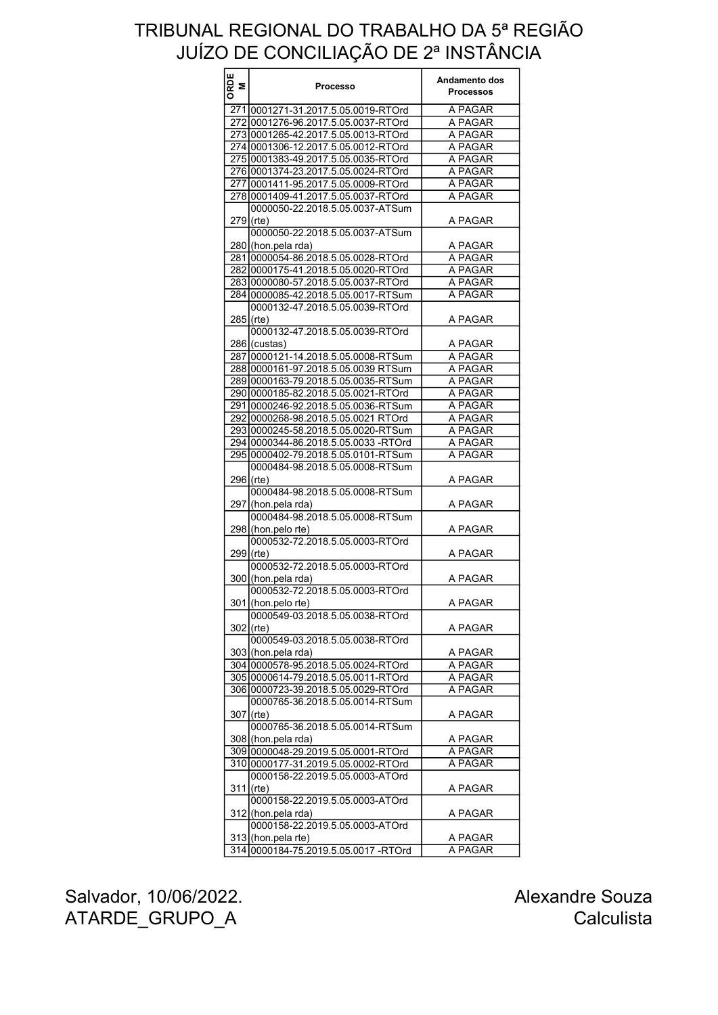| ORDE<br>M | <b>Processo</b>                                       | Andamento dos<br><b>Processos</b> |
|-----------|-------------------------------------------------------|-----------------------------------|
|           | 271 0001271-31.2017.5.05.0019-RTOrd                   | A PAGAR                           |
|           | 272 0001276-96.2017.5.05.0037-RTOrd                   | A PAGAR                           |
|           | 273 0001265-42.2017.5.05.0013-RTOrd                   | A PAGAR                           |
|           | 274 0001306-12.2017.5.05.0012-RTOrd                   | A PAGAR                           |
|           | 275 0001383-49.2017.5.05.0035-RTOrd                   | A PAGAR                           |
|           | 276 0001374-23.2017.5.05.0024-RTOrd                   | A PAGAR                           |
|           | 277 0001411-95.2017.5.05.0009-RTOrd                   | A PAGAR                           |
|           |                                                       | A PAGAR                           |
|           | 278 0001409-41.2017.5.05.0037-RTOrd                   |                                   |
|           | 0000050-22.2018.5.05.0037-ATSum<br>$279$ (rte)        | A PAGAR                           |
|           | 0000050-22.2018.5.05.0037-ATSum                       |                                   |
|           | 280 (hon.pela rda)                                    | A PAGAR                           |
|           | 281 0000054-86.2018.5.05.0028-RTOrd                   | A PAGAR                           |
|           | 282 0000175-41.2018.5.05.0020-RTOrd                   | A PAGAR                           |
|           | 283 0000080-57.2018.5.05.0037-RTOrd                   | A PAGAR                           |
|           | 284 0000085-42.2018.5.05.0017-RTSum                   | A PAGAR                           |
|           | 0000132-47.2018.5.05.0039-RTOrd<br>$285$ (rte)        | A PAGAR                           |
|           | 0000132-47.2018.5.05.0039-RTOrd                       |                                   |
|           | 286 (custas)                                          | A PAGAR                           |
|           | 287 0000121-14.2018.5.05.0008-RTSum                   | A PAGAR                           |
|           | 288 0000161-97.2018.5.05.0039 RTSum                   | A PAGAR                           |
|           | 289 0000163-79.2018.5.05.0035-RTSum                   | A PAGAR                           |
|           | 290 0000185-82.2018.5.05.0021-RTOrd                   | A PAGAR                           |
|           | 291 0000246-92.2018.5.05.0036-RTSum                   | A PAGAR                           |
|           | 292 0000268-98.2018.5.05.0021 RTOrd                   | A PAGAR                           |
|           | 293 0000245-58.2018.5.05.0020-RTSum                   | A PAGAR                           |
|           | 294 0000344-86.2018.5.05.0033 -RTOrd                  | A PAGAR                           |
|           | 295 0000402-79.2018.5.05.0101-RTSum                   | A PAGAR                           |
|           | 0000484-98.2018.5.05.0008-RTSum<br>296 (rte)          | A PAGAR                           |
|           | 0000484-98.2018.5.05.0008-RTSum<br>297 (hon.pela rda) | A PAGAR                           |
|           | 0000484-98.2018.5.05.0008-RTSum                       |                                   |
|           | 298 (hon.pelo rte)                                    | A PAGAR                           |
|           | 0000532-72.2018.5.05.0003-RTOrd<br>299 (rte)          | A PAGAR                           |
|           | 0000532-72.2018.5.05.0003-RTOrd<br>300 (hon.pela rda) | A PAGAR                           |
|           | 0000532-72.2018.5.05.0003-RTOrd                       |                                   |
|           | 301 (hon.pelo rte)<br>0000549-03.2018.5.05.0038-RTOrd | A PAGAR                           |
|           | $302$ (rte)<br>0000549-03.2018.5.05.0038-RTOrd        | A PAGAR                           |
|           |                                                       |                                   |
|           | 303 (hon.pela rda)                                    | A PAGAR                           |
|           | 304 0000578-95.2018.5.05.0024-RTOrd                   | A PAGAR                           |
|           | 305 0000614-79.2018.5.05.0011-RTOrd                   | A PAGAR                           |
|           | 306 0000723-39.2018.5.05.0029-RTOrd                   | A PAGAR                           |
|           | 0000765-36.2018.5.05.0014-RTSum<br>$307$ (rte)        | A PAGAR                           |
|           | 0000765-36.2018.5.05.0014-RTSum                       |                                   |
|           | 308 (hon.pela rda)                                    | A PAGAR                           |
|           | 309 0000048-29.2019.5.05.0001-RTOrd                   | A PAGAR                           |
|           | 310 0000177-31.2019.5.05.0002-RTOrd                   | A PAGAR                           |
|           | 0000158-22.2019.5.05.0003-ATOrd<br>$311$ (rte)        | A PAGAR                           |
|           | 0000158-22.2019.5.05.0003-ATOrd                       |                                   |
|           | 312 (hon.pela rda)<br>0000158-22.2019.5.05.0003-ATOrd | A PAGAR                           |
|           | 313 (hon.pela rte)                                    | A PAGAR                           |
|           | 314 0000184-75.2019.5.05.0017 -RTOrd                  | A PAGAR                           |

Salvador, 10/06/2022. ATARDE\_GRUPO\_A